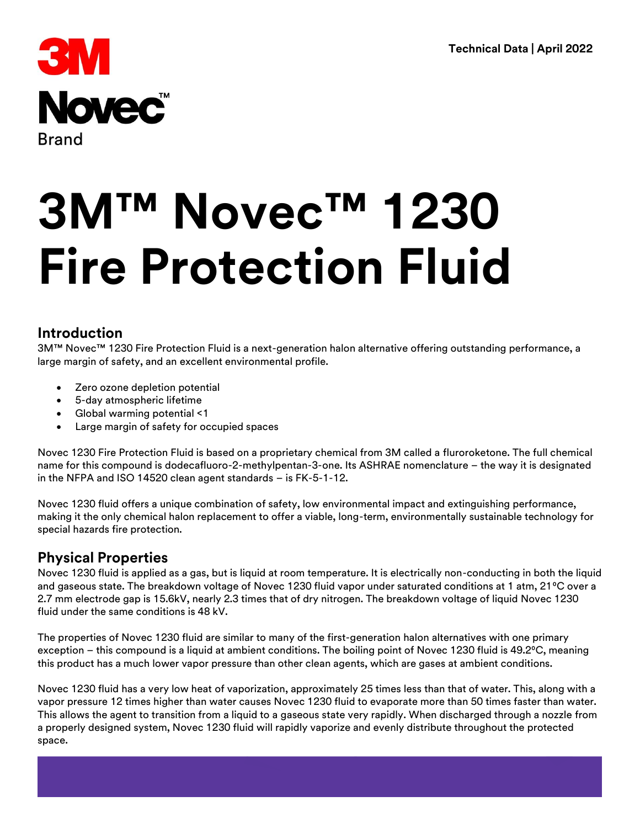

# **Introduction**

3M™ Novec™ 1230 Fire Protection Fluid is a next-generation halon alternative offering outstanding performance, a large margin of safety, and an excellent environmental profile.

- Zero ozone depletion potential
- 5-day atmospheric lifetime
- Global warming potential <1
- Large margin of safety for occupied spaces

Novec 1230 Fire Protection Fluid is based on a proprietary chemical from 3M called a fluroroketone. The full chemical name for this compound is dodecafluoro-2-methylpentan-3-one. Its ASHRAE nomenclature – the way it is designated in the NFPA and ISO 14520 clean agent standards – is FK-5-1-12.

Novec 1230 fluid offers a unique combination of safety, low environmental impact and extinguishing performance, making it the only chemical halon replacement to offer a viable, long-term, environmentally sustainable technology for special hazards fire protection.

# **Physical Properties**

Novec 1230 fluid is applied as a gas, but is liquid at room temperature. It is electrically non-conducting in both the liquid and gaseous state. The breakdown voltage of Novec 1230 fluid vapor under saturated conditions at 1 atm, 21°C over a 2.7 mm electrode gap is 15.6kV, nearly 2.3 times that of dry nitrogen. The breakdown voltage of liquid Novec 1230 fluid under the same conditions is 48 kV.

The properties of Novec 1230 fluid are similar to many of the first-generation halon alternatives with one primary exception – this compound is a liquid at ambient conditions. The boiling point of Novec 1230 fluid is 49.2°C, meaning this product has a much lower vapor pressure than other clean agents, which are gases at ambient conditions.

Novec 1230 fluid has a very low heat of vaporization, approximately 25 times less than that of water. This, along with a vapor pressure 12 times higher than water causes Novec 1230 fluid to evaporate more than 50 times faster than water. This allows the agent to transition from a liquid to a gaseous state very rapidly. When discharged through a nozzle from a properly designed system, Novec 1230 fluid will rapidly vaporize and evenly distribute throughout the protected space.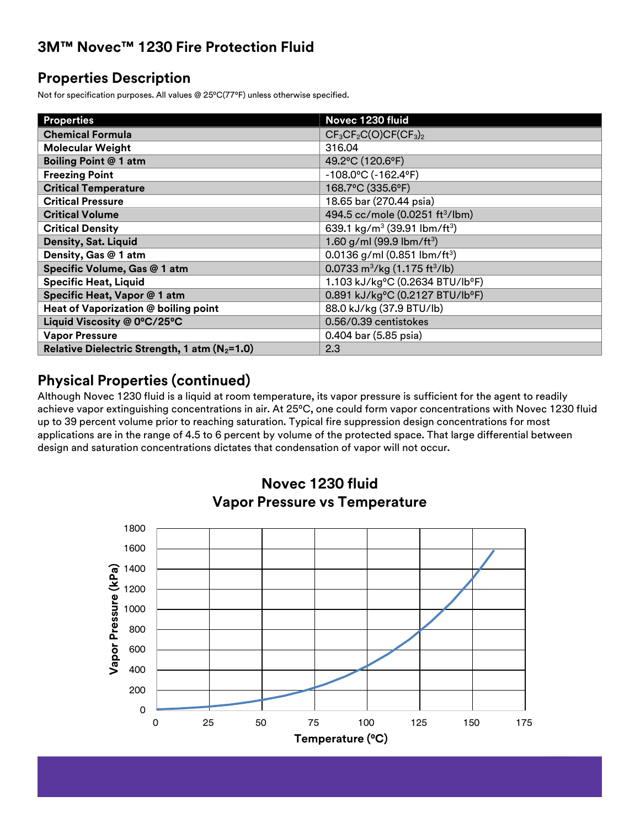# **Properties Description**

Not for specification purposes. All values @ 25°C(77°F) unless otherwise specified.

| <b>Properties</b>                                         | Novec 1230 fluid                                      |
|-----------------------------------------------------------|-------------------------------------------------------|
| <b>Chemical Formula</b>                                   | $CF_3CF_2C(O)CF(CF_3)_2$                              |
| <b>Molecular Weight</b>                                   | 316.04                                                |
| <b>Boiling Point @ 1 atm</b>                              | 49.2°C (120.6°F)                                      |
| <b>Freezing Point</b>                                     | $-108.0$ °C ( $-162.4$ °F)                            |
| <b>Critical Temperature</b>                               | 168.7°C (335.6°F)                                     |
| <b>Critical Pressure</b>                                  | 18.65 bar (270.44 psia)                               |
| <b>Critical Volume</b>                                    | 494.5 cc/mole (0.0251 ft <sup>3</sup> /lbm)           |
| <b>Critical Density</b>                                   | 639.1 kg/m <sup>3</sup> (39.91 lbm/ft <sup>3</sup> )  |
| Density, Sat. Liquid                                      | 1.60 g/ml (99.9 lbm/ft <sup>3</sup> )                 |
| Density, Gas @ 1 atm                                      | 0.0136 g/ml (0.851 lbm/ft <sup>3</sup> )              |
| Specific Volume, Gas @ 1 atm                              | 0.0733 m <sup>3</sup> /kg (1.175 ft <sup>3</sup> /lb) |
| <b>Specific Heat, Liquid</b>                              | 1.103 kJ/kg°C (0.2634 BTU/lb°F)                       |
| Specific Heat, Vapor @ 1 atm                              | 0.891 kJ/kg°C (0.2127 BTU/lb°F)                       |
| Heat of Vaporization @ boiling point                      | 88.0 kJ/kg (37.9 BTU/lb)                              |
| Liquid Viscosity @ 0°C/25°C                               | 0.56/0.39 centistokes                                 |
| <b>Vapor Pressure</b>                                     | 0.404 bar (5.85 psia)                                 |
| Relative Dielectric Strength, 1 atm (N <sub>2</sub> =1.0) | 2.3                                                   |

# **Physical Properties (continued)**

Although Novec 1230 fluid is a liquid at room temperature, its vapor pressure is sufficient for the agent to readily achieve vapor extinguishing concentrations in air. At 25°C, one could form vapor concentrations with Novec 1230 fluid up to 39 percent volume prior to reaching saturation. Typical fire suppression design concentrations for most applications are in the range of 4.5 to 6 percent by volume of the protected space. That large differential between design and saturation concentrations dictates that condensation of vapor will not occur.



# **Novec 1230 fluid Vapor Pressure vs Temperature**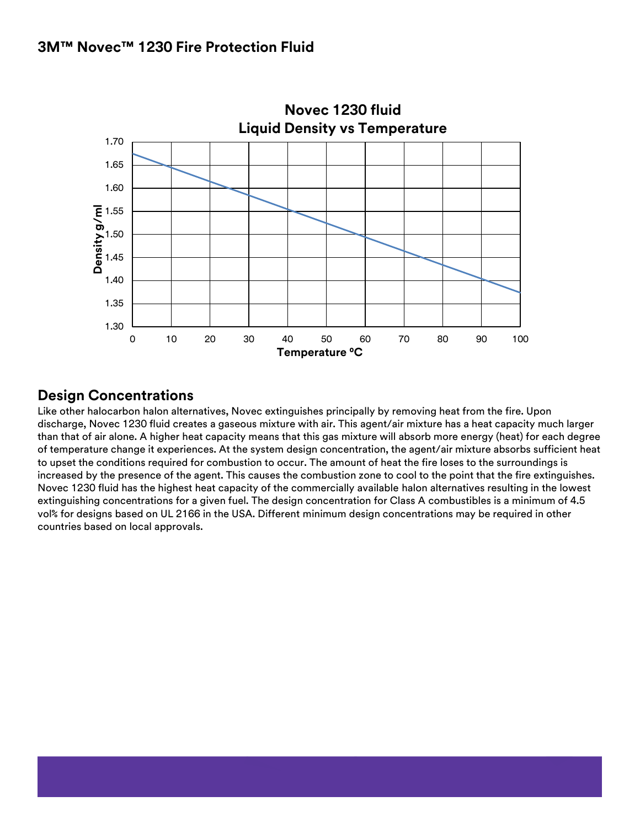

# **Design Concentrations**

Like other halocarbon halon alternatives, Novec extinguishes principally by removing heat from the fire. Upon discharge, Novec 1230 fluid creates a gaseous mixture with air. This agent/air mixture has a heat capacity much larger than that of air alone. A higher heat capacity means that this gas mixture will absorb more energy (heat) for each degree of temperature change it experiences. At the system design concentration, the agent/air mixture absorbs sufficient heat to upset the conditions required for combustion to occur. The amount of heat the fire loses to the surroundings is increased by the presence of the agent. This causes the combustion zone to cool to the point that the fire extinguishes. Novec 1230 fluid has the highest heat capacity of the commercially available halon alternatives resulting in the lowest extinguishing concentrations for a given fuel. The design concentration for Class A combustibles is a minimum of 4.5 vol% for designs based on UL 2166 in the USA. Different minimum design concentrations may be required in other countries based on local approvals.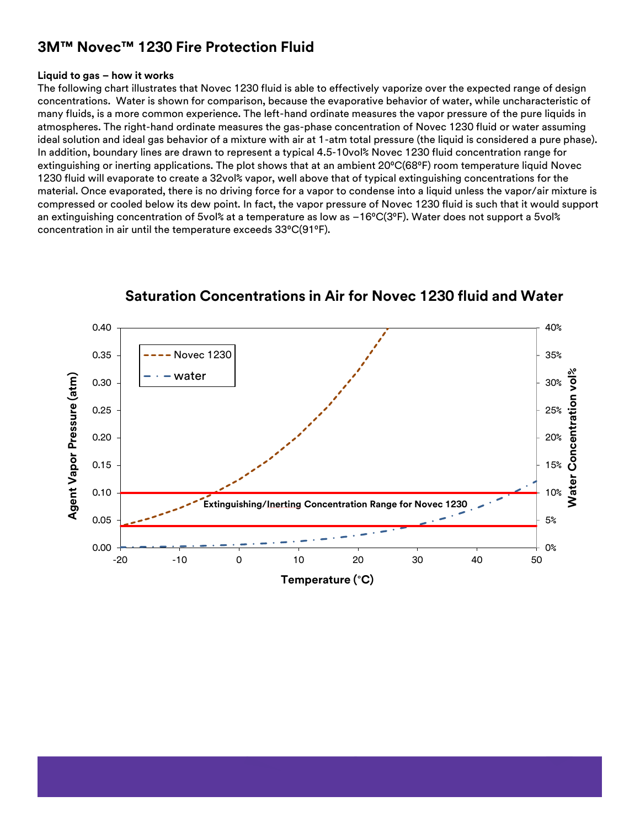#### **Liquid to gas – how it works**

The following chart illustrates that Novec 1230 fluid is able to effectively vaporize over the expected range of design concentrations. Water is shown for comparison, because the evaporative behavior of water, while uncharacteristic of many fluids, is a more common experience. The left-hand ordinate measures the vapor pressure of the pure liquids in atmospheres. The right-hand ordinate measures the gas-phase concentration of Novec 1230 fluid or water assuming ideal solution and ideal gas behavior of a mixture with air at 1-atm total pressure (the liquid is considered a pure phase). In addition, boundary lines are drawn to represent a typical 4.5-10vol% Novec 1230 fluid concentration range for extinguishing or inerting applications. The plot shows that at an ambient 20°C(68°F) room temperature liquid Novec 1230 fluid will evaporate to create a 32vol% vapor, well above that of typical extinguishing concentrations for the material. Once evaporated, there is no driving force for a vapor to condense into a liquid unless the vapor/air mixture is compressed or cooled below its dew point. In fact, the vapor pressure of Novec 1230 fluid is such that it would support an extinguishing concentration of 5vol% at a temperature as low as -16°C(3°F). Water does not support a 5vol% concentration in air until the temperature exceeds 33°C(91°F).



## **Saturation Concentrations in Air for Novec 1230 fluid and Water**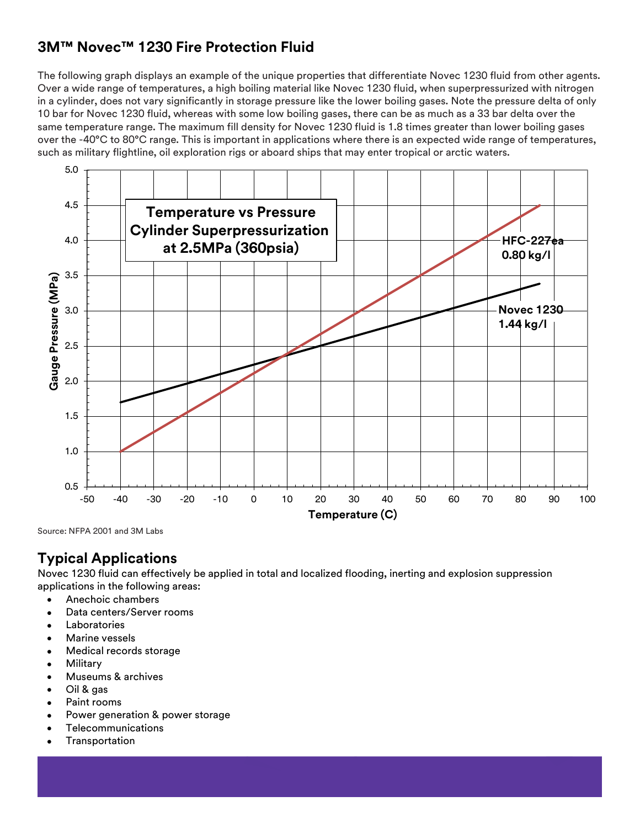The following graph displays an example of the unique properties that differentiate Novec 1230 fluid from other agents. Over a wide range of temperatures, a high boiling material like Novec 1230 fluid, when superpressurized with nitrogen in a cylinder, does not vary significantly in storage pressure like the lower boiling gases. Note the pressure delta of only 10 bar for Novec 1230 fluid, whereas with some low boiling gases, there can be as much as a 33 bar delta over the same temperature range. The maximum fill density for Novec 1230 fluid is 1.8 times greater than lower boiling gases over the -40°C to 80°C range. This is important in applications where there is an expected wide range of temperatures, such as military flightline, oil exploration rigs or aboard ships that may enter tropical or arctic waters.



Source: NFPA 2001 and 3M Labs

# **Typical Applications**

Novec 1230 fluid can effectively be applied in total and localized flooding, inerting and explosion suppression applications in the following areas:

- Anechoic chambers
- Data centers/Server rooms
- Laboratories
- Marine vessels
- Medical records storage
- Military
- Museums & archives
- Oil & gas
- Paint rooms
- Power generation & power storage
- Telecommunications
- **Transportation**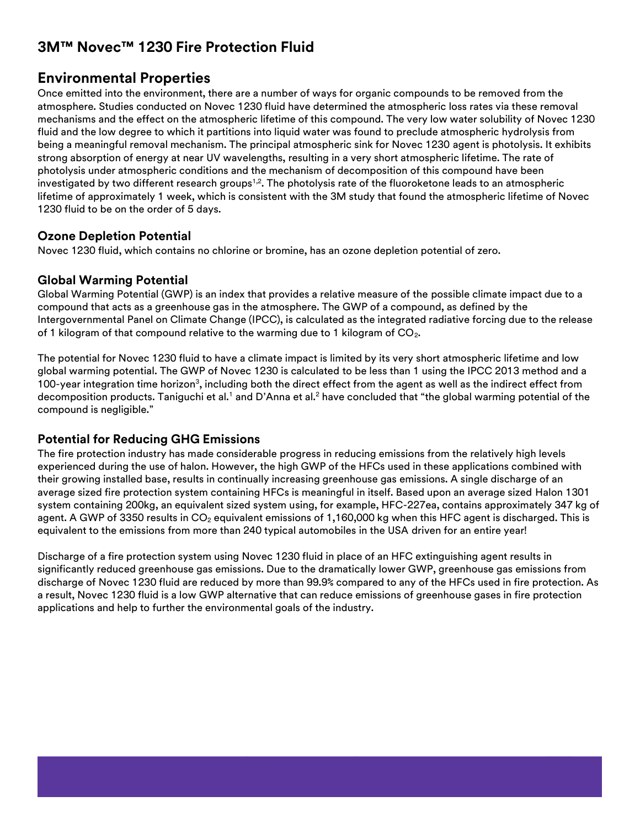# **Environmental Properties**

Once emitted into the environment, there are a number of ways for organic compounds to be removed from the atmosphere. Studies conducted on Novec 1230 fluid have determined the atmospheric loss rates via these removal mechanisms and the effect on the atmospheric lifetime of this compound. The very low water solubility of Novec 1230 fluid and the low degree to which it partitions into liquid water was found to preclude atmospheric hydrolysis from being a meaningful removal mechanism. The principal atmospheric sink for Novec 1230 agent is photolysis. It exhibits strong absorption of energy at near UV wavelengths, resulting in a very short atmospheric lifetime. The rate of photolysis under atmospheric conditions and the mechanism of decomposition of this compound have been investigated by two different research groups<sup>1,2</sup>. The photolysis rate of the fluoroketone leads to an atmospheric lifetime of approximately 1 week, which is consistent with the 3M study that found the atmospheric lifetime of Novec 1230 fluid to be on the order of 5 days.

#### **Ozone Depletion Potential**

Novec 1230 fluid, which contains no chlorine or bromine, has an ozone depletion potential of zero.

#### **Global Warming Potential**

Global Warming Potential (GWP) is an index that provides a relative measure of the possible climate impact due to a compound that acts as a greenhouse gas in the atmosphere. The GWP of a compound, as defined by the Intergovernmental Panel on Climate Change (IPCC), is calculated as the integrated radiative forcing due to the release of 1 kilogram of that compound relative to the warming due to 1 kilogram of  $CO<sub>2</sub>$ .

The potential for Novec 1230 fluid to have a climate impact is limited by its very short atmospheric lifetime and low global warming potential. The GWP of Novec 1230 is calculated to be less than 1 using the IPCC 2013 method and a 100-year integration time horizon $^3$ , including both the direct effect from the agent as well as the indirect effect from decomposition products. Taniguchi et al.<sup>1</sup> and D'Anna et al.<sup>2</sup> have concluded that "the global warming potential of the compound is negligible."

### **Potential for Reducing GHG Emissions**

The fire protection industry has made considerable progress in reducing emissions from the relatively high levels experienced during the use of halon. However, the high GWP of the HFCs used in these applications combined with their growing installed base, results in continually increasing greenhouse gas emissions. A single discharge of an average sized fire protection system containing HFCs is meaningful in itself. Based upon an average sized Halon 1301 system containing 200kg, an equivalent sized system using, for example, HFC-227ea, contains approximately 347 kg of agent. A GWP of 3350 results in  $CO<sub>2</sub>$  equivalent emissions of 1,160,000 kg when this HFC agent is discharged. This is equivalent to the emissions from more than 240 typical automobiles in the USA driven for an entire year!

Discharge of a fire protection system using Novec 1230 fluid in place of an HFC extinguishing agent results in significantly reduced greenhouse gas emissions. Due to the dramatically lower GWP, greenhouse gas emissions from discharge of Novec 1230 fluid are reduced by more than 99.9% compared to any of the HFCs used in fire protection. As a result, Novec 1230 fluid is a low GWP alternative that can reduce emissions of greenhouse gases in fire protection applications and help to further the environmental goals of the industry.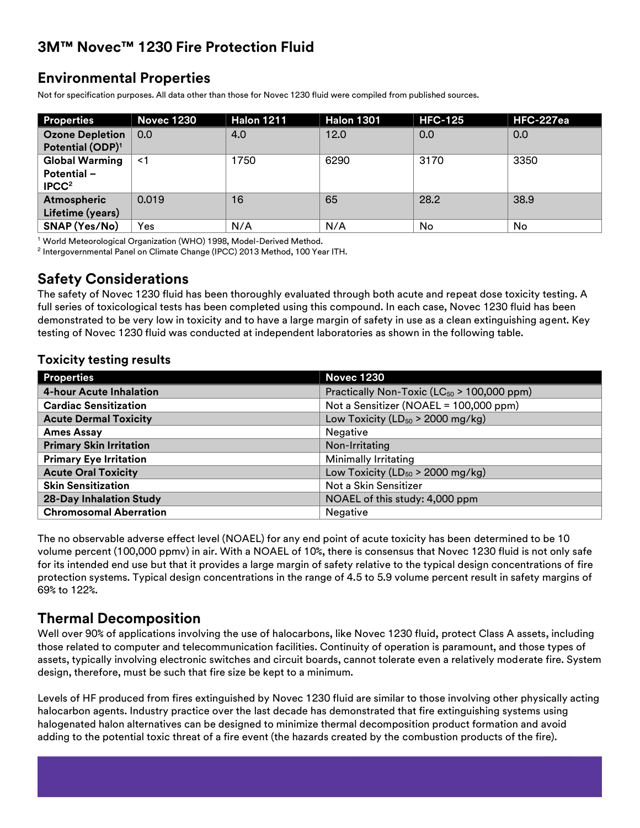# **Environmental Properties**

Not for specification purposes. All data other than those for Novec 1230 fluid were compiled from published sources.

| <b>Properties</b>            | <b>Novec 1230</b> | <b>Halon 1211</b> | <b>Halon 1301</b> | <b>HFC-125</b> | HFC-227ea |
|------------------------------|-------------------|-------------------|-------------------|----------------|-----------|
| <b>Ozone Depletion</b>       | 0.0               | 4.0               | 12.0              | 0.0            | 0.0       |
| Potential (ODP) <sup>1</sup> |                   |                   |                   |                |           |
| <b>Global Warming</b>        | <1                | 1750              | 6290              | 3170           | 3350      |
| <b>Potential -</b>           |                   |                   |                   |                |           |
| IPCC <sup>2</sup>            |                   |                   |                   |                |           |
| <b>Atmospheric</b>           | 0.019             | 16                | 65                | 28.2           | 38.9      |
| Lifetime (years)             |                   |                   |                   |                |           |
| SNAP (Yes/No)                | Yes               | N/A               | N/A               | No             | No        |

<sup>1</sup> World Meteorological Organization (WHO) 1998, Model-Derived Method.

 $^2$  Intergovernmental Panel on Climate Change (IPCC) 2013 Method, 100 Year ITH.

## **Safety Considerations**

The safety of Novec 1230 fluid has been thoroughly evaluated through both acute and repeat dose toxicity testing. A full series of toxicological tests has been completed using this compound. In each case, Novec 1230 fluid has been demonstrated to be very low in toxicity and to have a large margin of safety in use as a clean extinguishing agent. Key testing of Novec 1230 fluid was conducted at independent laboratories as shown in the following table.

#### **Toxicity testing results**

| <b>Properties</b>              | <b>Novec 1230</b>                                |
|--------------------------------|--------------------------------------------------|
| <b>4-hour Acute Inhalation</b> | Practically Non-Toxic ( $LC_{50}$ > 100,000 ppm) |
| <b>Cardiac Sensitization</b>   | Not a Sensitizer (NOAEL = 100,000 ppm)           |
| <b>Acute Dermal Toxicity</b>   | Low Toxicity ( $LD_{50}$ > 2000 mg/kg)           |
| <b>Ames Assay</b>              | Negative                                         |
| <b>Primary Skin Irritation</b> | Non-Irritating                                   |
| <b>Primary Eye Irritation</b>  | Minimally Irritating                             |
| <b>Acute Oral Toxicity</b>     | Low Toxicity ( $LD_{50}$ > 2000 mg/kg)           |
| <b>Skin Sensitization</b>      | Not a Skin Sensitizer                            |
| <b>28-Day Inhalation Study</b> | NOAEL of this study: 4,000 ppm                   |
| <b>Chromosomal Aberration</b>  | Negative                                         |

The no observable adverse effect level (NOAEL) for any end point of acute toxicity has been determined to be 10 volume percent (100,000 ppmv) in air. With a NOAEL of 10%, there is consensus that Novec 1230 fluid is not only safe for its intended end use but that it provides a large margin of safety relative to the typical design concentrations of fire protection systems. Typical design concentrations in the range of 4.5 to 5.9 volume percent result in safety margins of 69% to 122%.

## **Thermal Decomposition**

Well over 90% of applications involving the use of halocarbons, like Novec 1230 fluid, protect Class A assets, including those related to computer and telecommunication facilities. Continuity of operation is paramount, and those types of assets, typically involving electronic switches and circuit boards, cannot tolerate even a relatively moderate fire. System design, therefore, must be such that fire size be kept to a minimum.

Levels of HF produced from fires extinguished by Novec 1230 fluid are similar to those involving other physically acting halocarbon agents. Industry practice over the last decade has demonstrated that fire extinguishing systems using halogenated halon alternatives can be designed to minimize thermal decomposition product formation and avoid adding to the potential toxic threat of a fire event (the hazards created by the combustion products of the fire).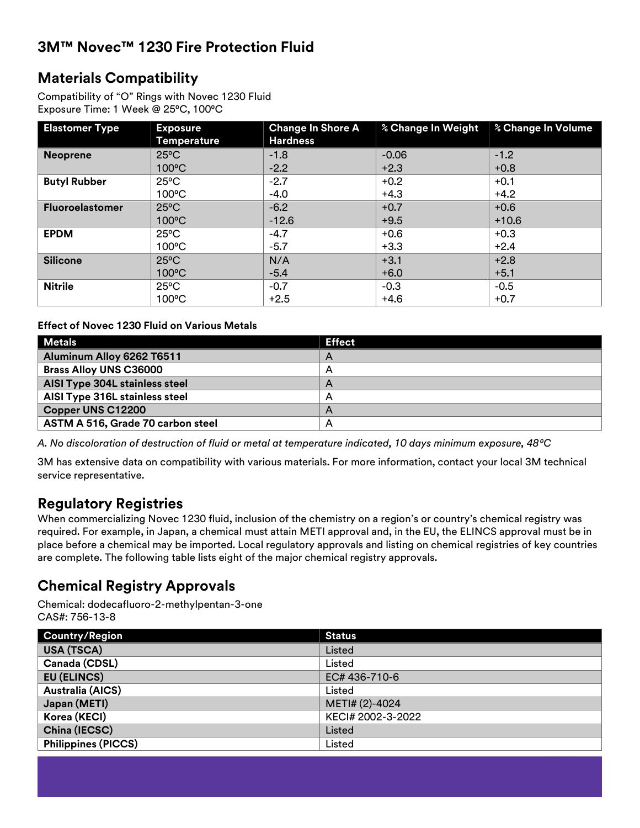# **Materials Compatibility**

Compatibility of "O" Rings with Novec 1230 Fluid Exposure Time: 1 Week @ 25°C, 100°C

| <b>Elastomer Type</b>  | <b>Exposure</b><br><b>Temperature</b> | <b>Change In Shore A</b><br><b>Hardness</b> | % Change In Weight | % Change In Volume |
|------------------------|---------------------------------------|---------------------------------------------|--------------------|--------------------|
| <b>Neoprene</b>        | $25^{\circ}$ C                        | $-1.8$                                      | $-0.06$            | $-1.2$             |
|                        | $100^{\circ}$ C                       | $-2.2$                                      | $+2.3$             | $+0.8$             |
| <b>Butyl Rubber</b>    | $25^{\circ}$ C                        | $-2.7$                                      | $+0.2$             | $+0.1$             |
|                        | $100^{\circ}$ C                       | $-4.0$                                      | $+4.3$             | $+4.2$             |
| <b>Fluoroelastomer</b> | $25^{\circ}$ C                        | $-6.2$                                      | $+0.7$             | $+0.6$             |
|                        | $100^{\circ}$ C                       | $-12.6$                                     | $+9.5$             | $+10.6$            |
| <b>EPDM</b>            | $25^{\circ}$ C                        | $-4.7$                                      | $+0.6$             | $+0.3$             |
|                        | $100^{\circ}$ C                       | $-5.7$                                      | $+3.3$             | $+2.4$             |
| <b>Silicone</b>        | $25^{\circ}$ C                        | N/A                                         | $+3.1$             | $+2.8$             |
|                        | $100^{\circ}$ C                       | $-5.4$                                      | $+6.0$             | $+5.1$             |
| <b>Nitrile</b>         | $25^{\circ}$ C                        | $-0.7$                                      | $-0.3$             | $-0.5$             |
|                        | $100^{\circ}$ C                       | $+2.5$                                      | $+4.6$             | $+0.7$             |

#### **Effect of Novec 1230 Fluid on Various Metals**

| <b>Metals</b>                     | <b>Effect</b>  |
|-----------------------------------|----------------|
| Aluminum Alloy 6262 T6511         | $\overline{A}$ |
| <b>Brass Alloy UNS C36000</b>     | A              |
| AISI Type 304L stainless steel    | A              |
| AISI Type 316L stainless steel    | A              |
| Copper UNS C12200                 | A              |
| ASTM A 516, Grade 70 carbon steel | A              |

*A. No discoloration of destruction of fluid or metal at temperature indicated, 10 days minimum exposure, 48⁰C*

3M has extensive data on compatibility with various materials. For more information, contact your local 3M technical service representative.

## **Regulatory Registries**

When commercializing Novec 1230 fluid, inclusion of the chemistry on a region's or country's chemical registry was required. For example, in Japan, a chemical must attain METI approval and, in the EU, the ELINCS approval must be in place before a chemical may be imported. Local regulatory approvals and listing on chemical registries of key countries are complete. The following table lists eight of the major chemical registry approvals.

# **Chemical Registry Approvals**

Chemical: dodecafluoro-2-methylpentan-3-one CAS#: 756-13-8

| <b>Country/Region</b>      | <b>Status</b>     |
|----------------------------|-------------------|
| USA (TSCA)                 | Listed            |
| Canada (CDSL)              | Listed            |
| <b>EU (ELINCS)</b>         | EC# 436-710-6     |
| <b>Australia (AICS)</b>    | Listed            |
| Japan (METI)               | METI# (2)-4024    |
| Korea (KECI)               | KECI# 2002-3-2022 |
| China (IECSC)              | Listed            |
| <b>Philippines (PICCS)</b> | Listed            |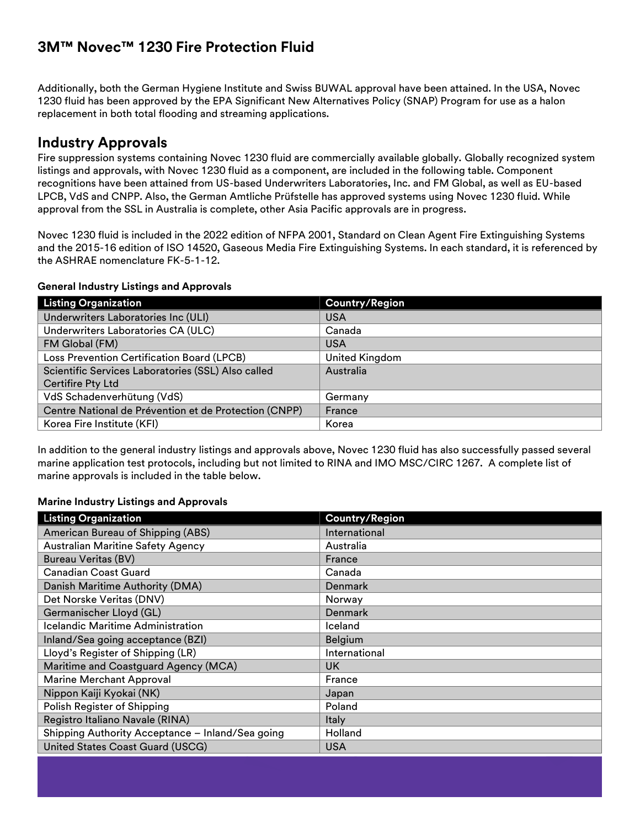Additionally, both the German Hygiene Institute and Swiss BUWAL approval have been attained. In the USA, Novec 1230 fluid has been approved by the EPA Significant New Alternatives Policy (SNAP) Program for use as a halon replacement in both total flooding and streaming applications.

# **Industry Approvals**

Fire suppression systems containing Novec 1230 fluid are commercially available globally. Globally recognized system listings and approvals, with Novec 1230 fluid as a component, are included in the following table. Component recognitions have been attained from US-based Underwriters Laboratories, Inc. and FM Global, as well as EU-based LPCB, VdS and CNPP. Also, the German Amtliche Prüfstelle has approved systems using Novec 1230 fluid. While approval from the SSL in Australia is complete, other Asia Pacific approvals are in progress.

Novec 1230 fluid is included in the 2022 edition of NFPA 2001, Standard on Clean Agent Fire Extinguishing Systems and the 2015-16 edition of ISO 14520, Gaseous Media Fire Extinguishing Systems. In each standard, it is referenced by the ASHRAE nomenclature FK-5-1-12.

#### **General Industry Listings and Approvals**

| <b>Listing Organization</b>                           | <b>Country/Region</b> |
|-------------------------------------------------------|-----------------------|
| Underwriters Laboratories Inc (ULI)                   | <b>USA</b>            |
| Underwriters Laboratories CA (ULC)                    | Canada                |
| FM Global (FM)                                        | <b>USA</b>            |
| Loss Prevention Certification Board (LPCB)            | United Kingdom        |
| Scientific Services Laboratories (SSL) Also called    | Australia             |
| <b>Certifire Pty Ltd</b>                              |                       |
| VdS Schadenverhütung (VdS)                            | Germany               |
| Centre National de Prévention et de Protection (CNPP) | France                |
| Korea Fire Institute (KFI)                            | Korea                 |

In addition to the general industry listings and approvals above, Novec 1230 fluid has also successfully passed several marine application test protocols, including but not limited to RINA and IMO MSC/CIRC 1267. A complete list of marine approvals is included in the table below.

#### **Marine Industry Listings and Approvals**

| <b>Listing Organization</b>                      | <b>Country/Region</b> |
|--------------------------------------------------|-----------------------|
| American Bureau of Shipping (ABS)                | International         |
| <b>Australian Maritine Safety Agency</b>         | Australia             |
| <b>Bureau Veritas (BV)</b>                       | France                |
| <b>Canadian Coast Guard</b>                      | Canada                |
| Danish Maritime Authority (DMA)                  | Denmark               |
| Det Norske Veritas (DNV)                         | Norway                |
| Germanischer Lloyd (GL)                          | Denmark               |
| <b>Icelandic Maritime Administration</b>         | Iceland               |
| Inland/Sea going acceptance (BZI)                | Belgium               |
| Lloyd's Register of Shipping (LR)                | International         |
| Maritime and Coastguard Agency (MCA)             | UK.                   |
| <b>Marine Merchant Approval</b>                  | France                |
| Nippon Kaiji Kyokai (NK)                         | Japan                 |
| Polish Register of Shipping                      | Poland                |
| Registro Italiano Navale (RINA)                  | Italy                 |
| Shipping Authority Acceptance - Inland/Sea going | Holland               |
| United States Coast Guard (USCG)                 | <b>USA</b>            |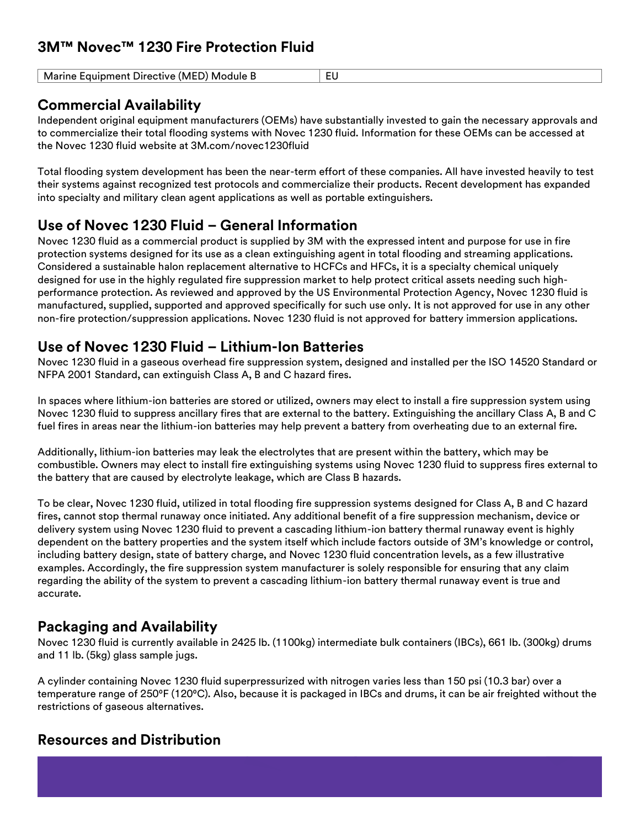| (MF)<br>Directive<br>Marine<br>:auipment<br>Module B<br>ו ש | - |
|-------------------------------------------------------------|---|
|                                                             |   |

# **Commercial Availability**

Independent original equipment manufacturers (OEMs) have substantially invested to gain the necessary approvals and to commercialize their total flooding systems with Novec 1230 fluid. Information for these OEMs can be accessed at the Novec 1230 fluid website at 3M.com/novec1230fluid

Total flooding system development has been the near-term effort of these companies. All have invested heavily to test their systems against recognized test protocols and commercialize their products. Recent development has expanded into specialty and military clean agent applications as well as portable extinguishers.

# **Use of Novec 1230 Fluid – General Information**

Novec 1230 fluid as a commercial product is supplied by 3M with the expressed intent and purpose for use in fire protection systems designed for its use as a clean extinguishing agent in total flooding and streaming applications. Considered a sustainable halon replacement alternative to HCFCs and HFCs, it is a specialty chemical uniquely designed for use in the highly regulated fire suppression market to help protect critical assets needing such highperformance protection. As reviewed and approved by the US Environmental Protection Agency, Novec 1230 fluid is manufactured, supplied, supported and approved specifically for such use only. It is not approved for use in any other non-fire protection/suppression applications. Novec 1230 fluid is not approved for battery immersion applications.

# **Use of Novec 1230 Fluid – Lithium-Ion Batteries**

Novec 1230 fluid in a gaseous overhead fire suppression system, designed and installed per the ISO 14520 Standard or NFPA 2001 Standard, can extinguish Class A, B and C hazard fires.

In spaces where lithium-ion batteries are stored or utilized, owners may elect to install a fire suppression system using Novec 1230 fluid to suppress ancillary fires that are external to the battery. Extinguishing the ancillary Class A, B and C fuel fires in areas near the lithium-ion batteries may help prevent a battery from overheating due to an external fire.

Additionally, lithium-ion batteries may leak the electrolytes that are present within the battery, which may be combustible. Owners may elect to install fire extinguishing systems using Novec 1230 fluid to suppress fires external to the battery that are caused by electrolyte leakage, which are Class B hazards.

To be clear, Novec 1230 fluid, utilized in total flooding fire suppression systems designed for Class A, B and C hazard fires, cannot stop thermal runaway once initiated. Any additional benefit of a fire suppression mechanism, device or delivery system using Novec 1230 fluid to prevent a cascading lithium-ion battery thermal runaway event is highly dependent on the battery properties and the system itself which include factors outside of 3M's knowledge or control, including battery design, state of battery charge, and Novec 1230 fluid concentration levels, as a few illustrative examples. Accordingly, the fire suppression system manufacturer is solely responsible for ensuring that any claim regarding the ability of the system to prevent a cascading lithium-ion battery thermal runaway event is true and accurate.

# **Packaging and Availability**

Novec 1230 fluid is currently available in 2425 lb. (1100kg) intermediate bulk containers (IBCs), 661 lb. (300kg) drums and 11 lb. (5kg) glass sample jugs.

A cylinder containing Novec 1230 fluid superpressurized with nitrogen varies less than 150 psi (10.3 bar) over a temperature range of 250°F (120°C). Also, because it is packaged in IBCs and drums, it can be air freighted without the restrictions of gaseous alternatives.

# **Resources and Distribution**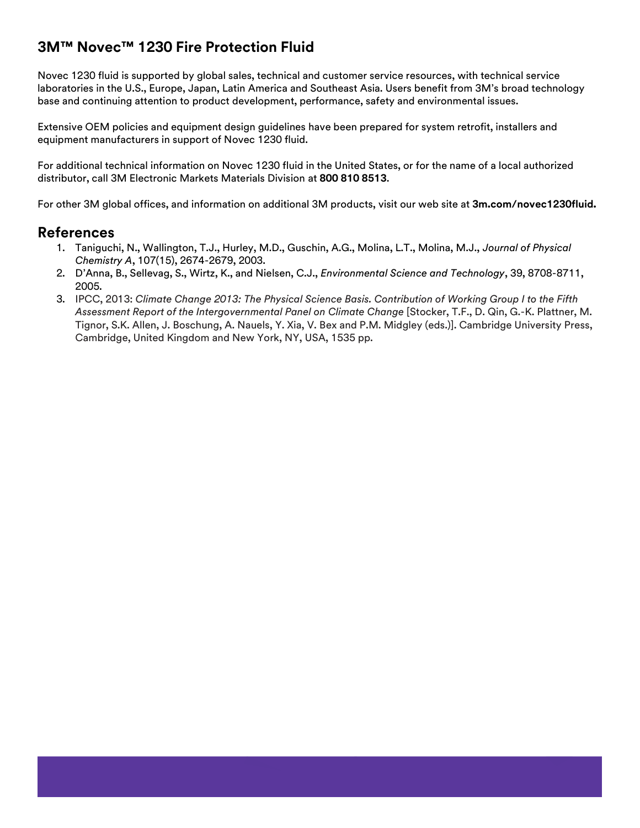Novec 1230 fluid is supported by global sales, technical and customer service resources, with technical service laboratories in the U.S., Europe, Japan, Latin America and Southeast Asia. Users benefit from 3M's broad technology base and continuing attention to product development, performance, safety and environmental issues.

Extensive OEM policies and equipment design guidelines have been prepared for system retrofit, installers and equipment manufacturers in support of Novec 1230 fluid.

For additional technical information on Novec 1230 fluid in the United States, or for the name of a local authorized distributor, call 3M Electronic Markets Materials Division at **800 810 8513**.

For other 3M global offices, and information on additional 3M products, visit our web site at **3m.com/novec1230fluid.**

## **References**

- 1. Taniguchi, N., Wallington, T.J., Hurley, M.D., Guschin, A.G., Molina, L.T., Molina, M.J., *Journal of Physical Chemistry A*, 107(15), 2674-2679, 2003.
- 2. D'Anna, B., Sellevag, S., Wirtz, K., and Nielsen, C.J., *Environmental Science and Technology*, 39, 8708-8711, 2005.
- 3. IPCC, 2013: *Climate Change 2013: The Physical Science Basis. Contribution of Working Group I to the Fifth Assessment Report of the Intergovernmental Panel on Climate Change* [Stocker, T.F., D. Qin, G.-K. Plattner, M. Tignor, S.K. Allen, J. Boschung, A. Nauels, Y. Xia, V. Bex and P.M. Midgley (eds.)]. Cambridge University Press, Cambridge, United Kingdom and New York, NY, USA, 1535 pp.